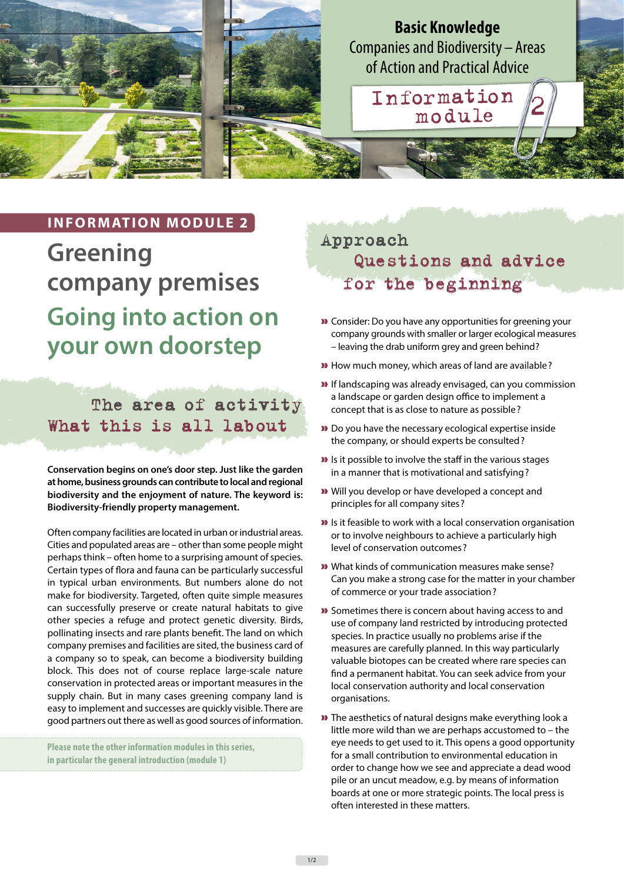**Basic Knowledge** Companies and Biodiversity – Areas of Action and Practical Advice Information module <sup>2</sup>

### **INFORMATION MODULE 2**

**Greening company premises Going into action on your own doorstep**

### The area of activity What this is all labout

**Conservation begins on one's door step. Just like the garden at home, business grounds can contribute to local and regional biodiversity and the enjoyment of nature. The keyword is: Biodiversity-friendly property management.**

Often company facilities are located in urban or industrial areas. Cities and populated areas are – other than some people might perhaps think – often home to a surprising amount of species. Certain types of flora and fauna can be particularly successful in typical urban environments. But numbers alone do not make for biodiversity. Targeted, often quite simple measures can successfully preserve or create natural habitats to give other species a refuge and protect genetic diversity. Birds, pollinating insects and rare plants benefit. The land on which company premises and facilities are sited, the business card of a company so to speak, can become a biodiversity building block. This does not of course replace large-scale nature conservation in protected areas or important measures in the supply chain. But in many cases greening company land is easy to implement and successes are quickly visible. There are good partners out there as well as good sources of information.

**Please note the other information modules in this series, in particular the general introduction (module 1)**

# Approach Questions and advice for the beginning

- » Consider: Do you have any opportunities for greening your company grounds with smaller or larger ecological measures – leaving the drab uniform grey and green behind?
- » How much money, which areas of land are available?
- » If landscaping was already envisaged, can you commission a landscape or garden design office to implement a concept that is as close to nature as possible?
- » Do you have the necessary ecological expertise inside the company, or should experts be consulted?
- » Is it possible to involve the staff in the various stages in a manner that is motivational and satisfying?
- » Will you develop or have developed a concept and principles for all company sites?
- » Is it feasible to work with a local conservation organisation or to involve neighbours to achieve a particularly high level of conservation outcomes?
- » What kinds of communication measures make sense? Can you make a strong case for the matter in your chamber of commerce or your trade association?
- » Sometimes there is concern about having access to and use of company land restricted by introducing protected species. In practice usually no problems arise if the measures are carefully planned. In this way particularly valuable biotopes can be created where rare species can find a permanent habitat. You can seek advice from your local conservation authority and local conservation organisations.
- » The aesthetics of natural designs make everything look a little more wild than we are perhaps accustomed to – the eye needs to get used to it. This opens a good opportunity for a small contribution to environmental education in order to change how we see and appreciate a dead wood pile or an uncut meadow, e.g. by means of information boards at one or more strategic points. The local press is often interested in these matters.